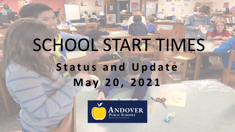## SCHOOL START TIMES **Status and Update May 20, 2021**

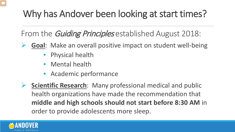

#### Why has Andover been looking at start times?

From the *Guiding Principles* established August 2018:

- **Goal**: Make an overall positive impact on student well-being
	- Physical health
	- Mental health
	- Academic performance

**► Scientific Research:** Many professional medical and public health organizations have made the recommendation that **middle and high schools should not start before 8:30 AM** in order to provide adolescents more sleep.

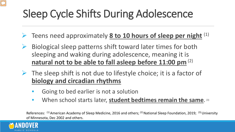## Sleep Cycle Shifts During Adolescence

- Teens need approximately **8 to 10 hours of sleep per night** (1)
- $\triangleright$  Biological sleep patterns shift toward later times for both sleeping and waking during adolescence, meaning it is **natural not to be able to fall asleep before 11:00 pm** (2)
- $\triangleright$  The sleep shift is not due to lifestyle choice; it is a factor of **biology and circadian rhythms**
	- Going to bed earlier is not a solution
	- When school starts later, **student bedtimes remain the same**. (3)

References:  $(1)$  American Academy of Sleep Medicine, 2016 and others;  $(2)$  National Sleep Foundation, 2019;  $(3)$  University of Minnesota, Dec 2002 and others.

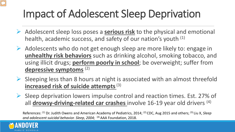## Impact of Adolescent Sleep Deprivation

- Adolescent sleep loss poses a **serious risk** to the physical and emotional health, academic success, and safety of our nation's youth (1)
- $\triangleright$  Adolescents who do not get enough sleep are more likely to: engage in **unhealthy risk behaviors** such as drinking alcohol, smoking tobacco, and using illicit drugs; **perform poorly in school**; be overweight; suffer from **depressive symptoms** (2)
- $\triangleright$  Sleeping less than 8 hours at night is associated with an almost threefold **increased risk of suicide attempts**(3)
- $\triangleright$  Sleep deprivation lowers impulse control and reaction times. Est. 27% of all **drowsy-driving-related car crashes** involve 16-19 year old drivers (4)

References: (1) Dr. Judith Owens and American Academy of Pediatrics, 2014; (2) CDC, Aug 2015 and others; (3) Liu X, *Sleep and adolescent suicidal behavior. Sleep, 2004;* (4) AAA Foundation, 2018.

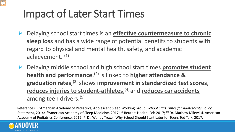#### Impact of Later Start Times

- Delaying school start times is an **effective countermeasure to chronic sleep loss** and has a wide range of potential benefits to students with regard to physical and mental health, safety, and academic achievement. (1)
- Delaying middle school and high school start times **promotes student health and performance**, (2) is linked to **higher attendance & graduation rates**, (3) shows **improvement in standardized test scores**, **reduces injuries to student-athletes**, (4) and **reduces car accidents** among teen drivers.(5)

References: (1) American Academy of Pediatrics, Adolescent Sleep Working Group, *School Start Times for Adolescents* Policy Statement, 2014; <sup>(2)</sup>American Academy of Sleep Medicine, 2017; <sup>(3)</sup> Reuters Health, Feb 2017; <sup>(4)</sup> Dr. Mathew Milewksi, American Academy of Pediatrics Conference, 2012; (5) Dr. Wendy Troxel, Why School Should Start Later for Teens Ted Talk, 2017.

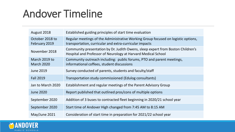#### Andover Timeline

| August 2018                        | Established guiding principles of start time evaluation                                                                                          |
|------------------------------------|--------------------------------------------------------------------------------------------------------------------------------------------------|
| October 2018 to<br>February 2019   | Regular meetings of the Administrative Working Group focused on logistic options,<br>transportation, curricular and extra-curricular impacts     |
| November 2018                      | Community presentation by Dr. Judith Owens, sleep expert from Boston Children's<br>Hospital and Professor of Neurology at Harvard Medical School |
| March 2019 to<br><b>March 2020</b> | Community outreach including: public forums, PTO and parent meetings,<br>informational coffees, student discussions                              |
| June 2019                          | Survey conducted of parents, students and faculty/staff                                                                                          |
| <b>Fall 2019</b>                   | Transportation study commissioned (Edulog consultants)                                                                                           |
| Jan to March 2020                  | Establishment and regular meetings of the Parent Advisory Group                                                                                  |
| <b>June 2020</b>                   | Report published that outlined pros/cons of multiple options                                                                                     |
| September 2020                     | Addition of 3 buses to contracted fleet beginning in 2020/21 school year                                                                         |
| September 2020                     | Start time of Andover High changed from 7:45 AM to 8:15 AM                                                                                       |
| May/June 2021                      | Consideration of start time in preparation for 2021/22 school year                                                                               |

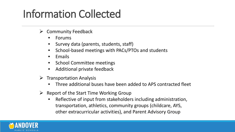### Information Collected

- $\triangleright$  Community Feedback
	- Forums
	- Survey data (parents, students, staff)
	- School-based meetings with PACs/PTOs and students
	- Emails
	- School Committee meetings
	- Additional private feedback
- $\triangleright$  Transportation Analysis
	- Three additional buses have been added to APS contracted fleet
- $\triangleright$  Report of the Start Time Working Group
	- Reflective of input from stakeholders including administration, transportation, athletics, community groups (childcare, AYS, other extracurricular activities), and Parent Advisory Group

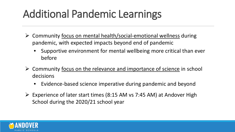### Additional Pandemic Learnings

- $\triangleright$  Community focus on mental health/social-emotional wellness during pandemic, with expected impacts beyond end of pandemic
	- Supportive environment for mental wellbeing more critical than ever before
- $\triangleright$  Community focus on the relevance and importance of science in school decisions
	- Evidence-based science imperative during pandemic and beyond
- $\triangleright$  Experience of later start times (8:15 AM vs 7:45 AM) at Andover High School during the 2020/21 school year

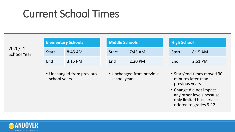#### Current School Times

|                               | <b>Elementary Schools</b>                 |         | <b>Middle Schools</b>                     |         | <b>High School</b>                                                                                                                                                              |         |
|-------------------------------|-------------------------------------------|---------|-------------------------------------------|---------|---------------------------------------------------------------------------------------------------------------------------------------------------------------------------------|---------|
| 2020/21<br><b>School Year</b> | <b>Start</b>                              | 8:45 AM | <b>Start</b>                              | 7:45 AM | <b>Start</b>                                                                                                                                                                    | 8:15 AM |
|                               | End                                       | 3:15 PM | End                                       | 2:20 PM | End                                                                                                                                                                             | 2:51 PM |
|                               | • Unchanged from previous<br>school years |         | • Unchanged from previous<br>school years |         | • Start/end times moved 30<br>minutes later than<br>previous years<br>• Change did not impact<br>any other levels because<br>only limited bus service<br>offered to grades 9-12 |         |

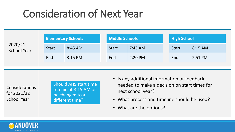#### Consideration of Next Year

| 2020/21<br><b>School Year</b>                       | <b>Elementary Schools</b> |                                                                                            |              | <b>Middle Schools</b>                                                                                                                                                                      |              | <b>High School</b> |  |
|-----------------------------------------------------|---------------------------|--------------------------------------------------------------------------------------------|--------------|--------------------------------------------------------------------------------------------------------------------------------------------------------------------------------------------|--------------|--------------------|--|
|                                                     | <b>Start</b>              | 8:45 AM                                                                                    | <b>Start</b> | 7:45 AM                                                                                                                                                                                    | <b>Start</b> | 8:15 AM            |  |
|                                                     | End                       | 3:15 PM                                                                                    | End          | 2:20 PM                                                                                                                                                                                    | End          | 2:51 PM            |  |
|                                                     |                           |                                                                                            |              |                                                                                                                                                                                            |              |                    |  |
| Considerations<br>for 2021/22<br><b>School Year</b> |                           | <b>Should AHS start time</b><br>remain at 8:15 AM or<br>be changed to a<br>different time? |              | • Is any additional information or feedback<br>needed to make a decision on start times for<br>next school year?<br>• What process and timeline should be used?<br>• What are the options? |              |                    |  |